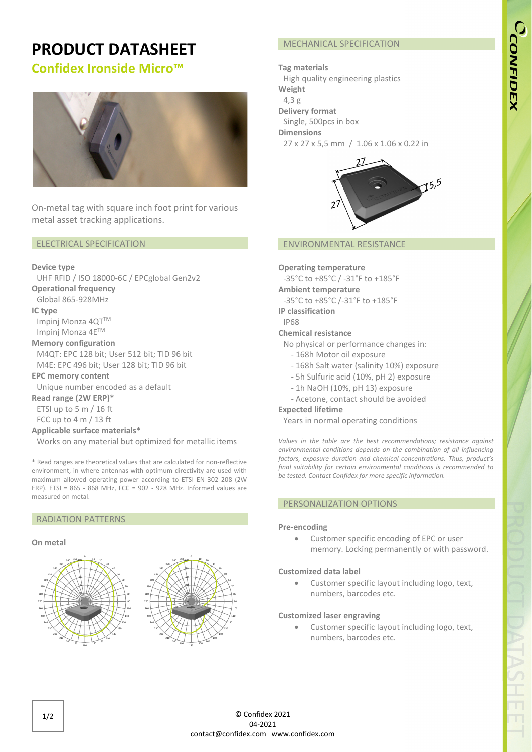# **PRODUCT DATASHEET**

## **Confidex Ironside Micro™**



On-metal tag with square inch foot print for various metal asset tracking applications.

### ELECTRICAL SPECIFICATION

### **Device type**

UHF RFID / ISO 18000-6C / EPCglobal Gen2v2

### **Operational frequency**

Global 865-928MHz

**IC type**

Impinj Monza 4QTTM Impinj Monza 4ETM

### **Memory configuration**

M4QT: EPC 128 bit; User 512 bit; TID 96 bit M4E: EPC 496 bit; User 128 bit; TID 96 bit

**EPC memory content**

Unique number encoded as a default

**Read range (2W ERP)\***

ETSI up to 5 m / 16 ft FCC up to 4 m / 13 ft

### **Applicable surface materials\***

Works on any material but optimized for metallic items

\* Read ranges are theoretical values that are calculated for non-reflective environment, in where antennas with optimum directivity are used with maximum allowed operating power according to ETSI EN 302 208 (2W ERP). ETSI = 865 - 868 MHz, FCC = 902 - 928 MHz. Informed values are measured on metal.

### RADIATION PATTERNS

### **On metal**





### MECHANICAL SPECIFICATION

### **Tag materials** High quality engineering plastics **Weight** 4,3 g **Delivery format** Single, 500pcs in box **Dimensions** 27 x 27 x 5,5 mm / 1.06 x 1.06 x 0.22 in



### ENVIRONMENTAL RESISTANCE

### **Operating temperature**

-35°C to +85°C / -31°F to +185°F **Ambient temperature** -35°C to +85°C /-31°F to +185°F

**IP classification**

### IP68

### **Chemical resistance**

No physical or performance changes in:

- 168h Motor oil exposure
- 168h Salt water (salinity 10%) exposure
- 5h Sulfuric acid (10%, pH 2) exposure
- 1h NaOH (10%, pH 13) exposure
- Acetone, contact should be avoided

### **Expected lifetime**

Years in normal operating conditions

*Values in the table are the best recommendations; resistance against environmental conditions depends on the combination of all influencing factors, exposure duration and chemical concentrations. Thus, product's final suitability for certain environmental conditions is recommended to be tested. Contact Confidex for more specific information.*

### PERSONALIZATION OPTIONS

### **Pre-encoding**

• Customer specific encoding of EPC or user memory. Locking permanently or with password.

### **Customized data label**

• Customer specific layout including logo, text, numbers, barcodes etc.

### **Customized laser engraving**

Customer specific layout including logo, text, numbers, barcodes etc.